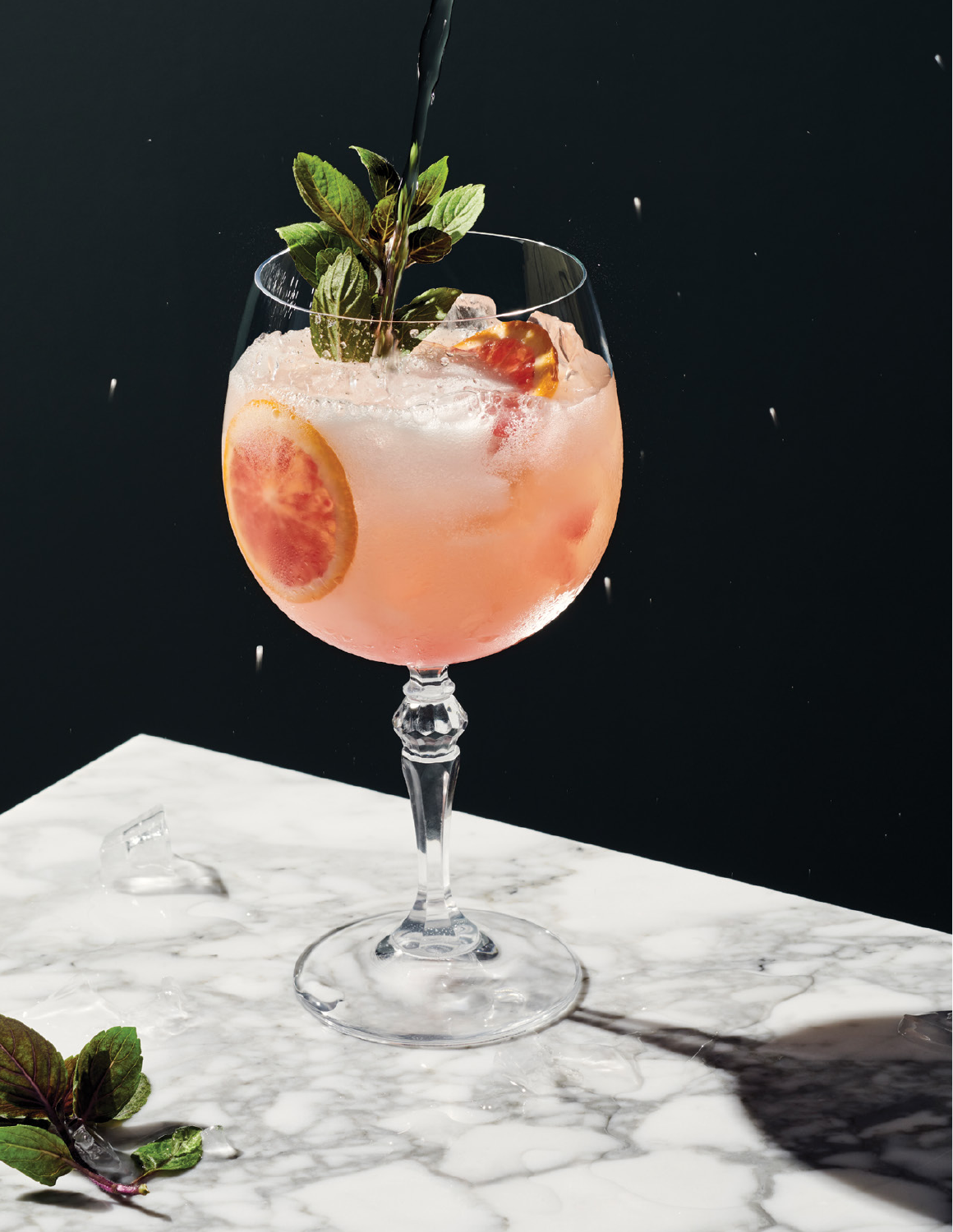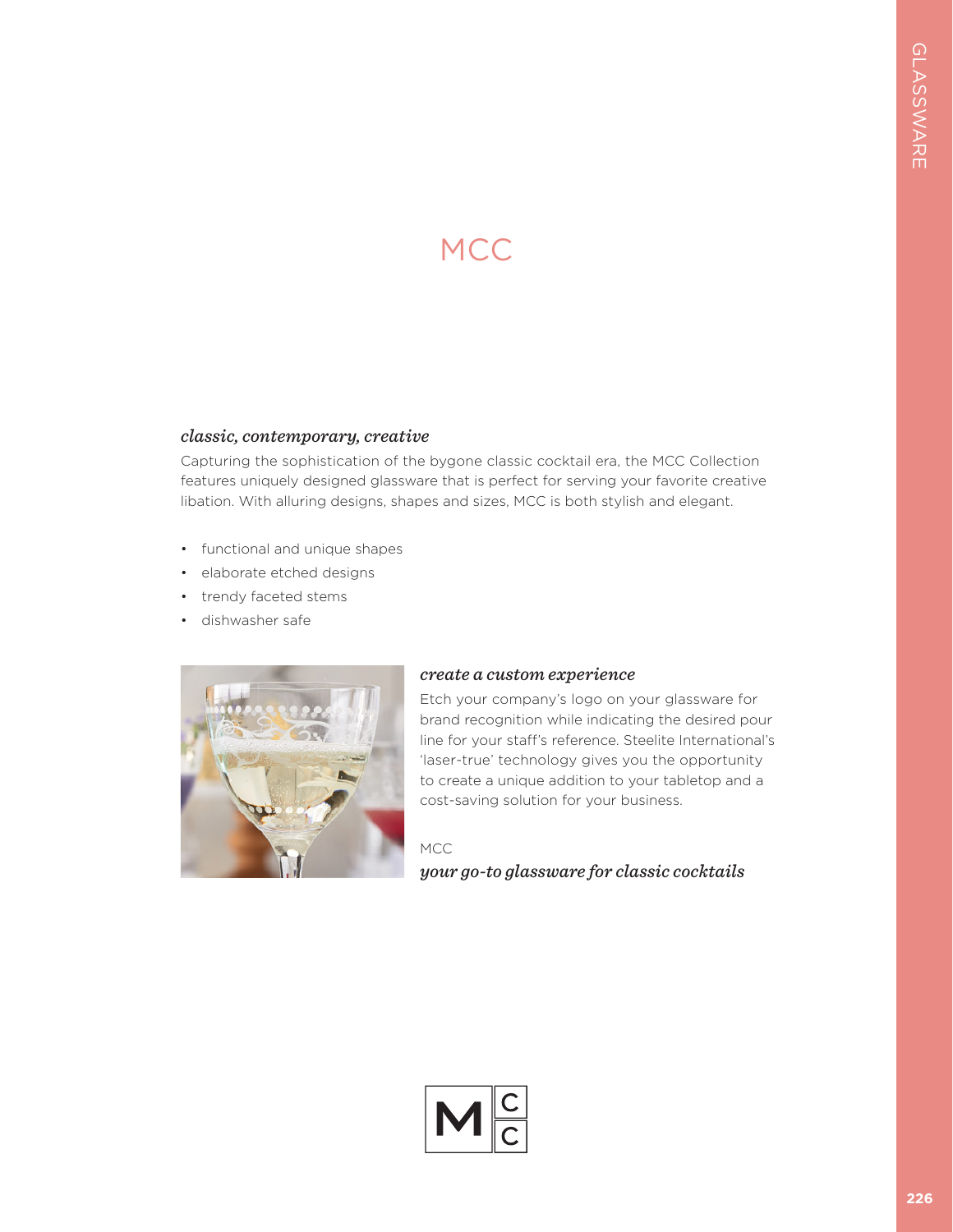# MCC

#### *classic, contemporary, creative*

Capturing the sophistication of the bygone classic cocktail era, the MCC Collection features uniquely designed glassware that is perfect for serving your favorite creative libation. With alluring designs, shapes and sizes, MCC is both stylish and elegant.

- functional and unique shapes
- elaborate etched designs
- trendy faceted stems
- dishwasher safe



#### *create a custom experience*

Etch your company's logo on your glassware for brand recognition while indicating the desired pour line for your staff's reference. Steelite International's 'laser-true' technology gives you the opportunity to create a unique addition to your tabletop and a cost-saving solution for your business.

**MCC** *your go-to glassware for classic cocktails* 

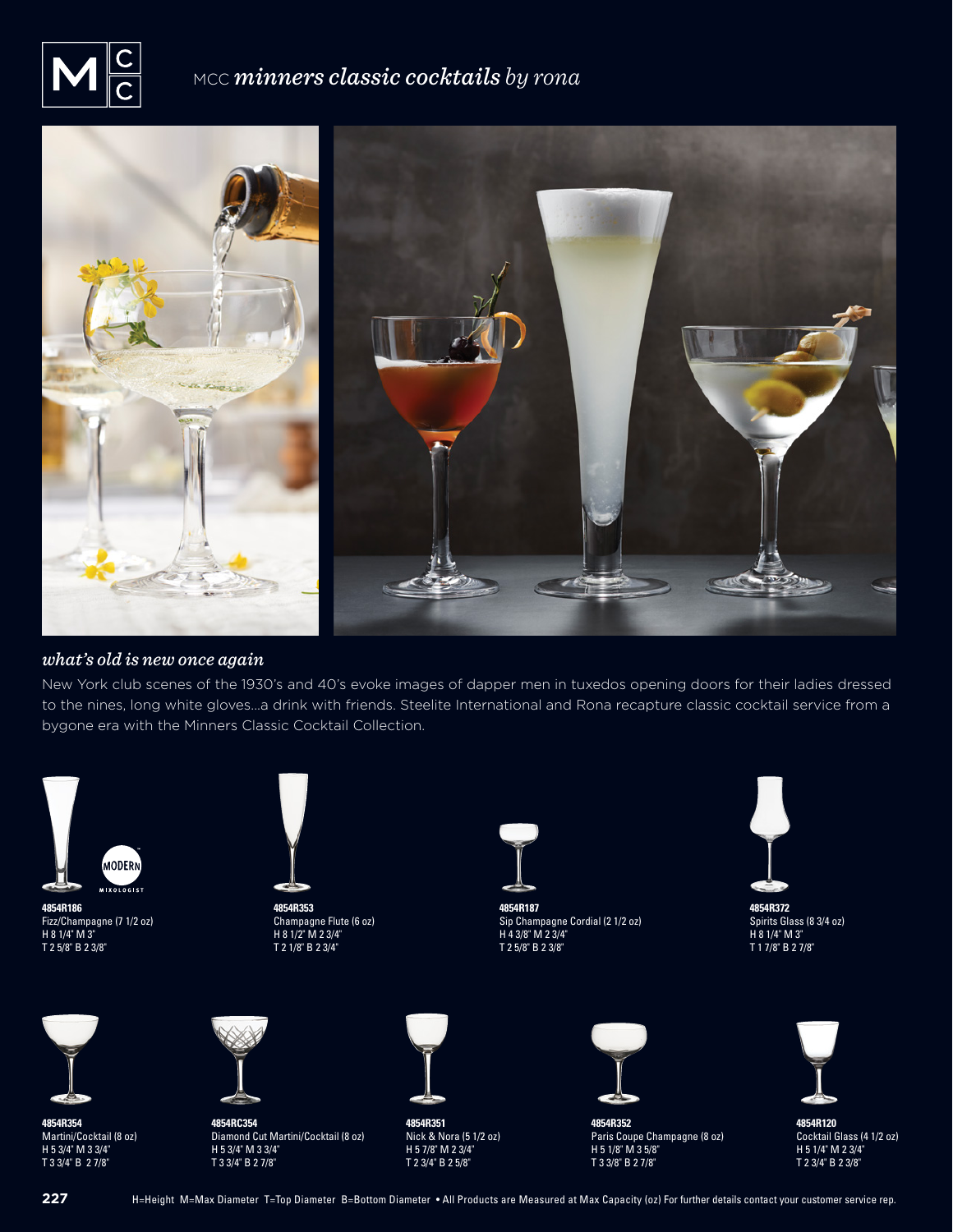# MCC *minners classic cocktails by rona*



#### *what's old is new once again*

New York club scenes of the 1930's and 40's evoke images of dapper men in tuxedos opening doors for their ladies dressed to the nines, long white gloves...a drink with friends. Steelite International and Rona recapture classic cocktail service from a bygone era with the Minners Classic Cocktail Collection.



**4854R186**  Fizz/Champagne (7 1/2 oz) H 8 1/4" M 3" T 2 5/8" B 2 3/8"



**4854R353**  Champagne Flute (6 oz) H 8 1/2" M 2 3/4"



**4854R187**  Sip Champagne Cordial (2 1/2 oz) H 4 3/8" M 2 3/4" T 2 5/8" B 2 3/8"



**4854R372**  Spirits Glass (8 3/4 oz) H 8 1/4" M 3" T 1 7/8" B 2 7/8"



**4854R354**  Martini/Cocktail (8 oz) H 5 3/4" M 3 3/4" T 3 3/4" B 2 7/8"



**4854RC354** 

H 5 3/4" M 3 3/4" T 3 3/4" B 2 7/8"

Diamond Cut Martini/Cocktail (8 oz)

T 2 1/8" B 2 3/4"



**4854R351**  Nick & Nora (5 1/2 oz) H 5 7/8" M 2 3/4" T 2 3/4" B 2 5/8"



**4854R352**  Paris Coupe Champagne (8 oz) H 5 1/8" M 3 5/8" T 3 3/8" B 2 7/8"



**4854R120**  Cocktail Glass (4 1/2 oz) H 5 1/4" M 2 3/4" T 2 3/4" B 2 3/8"